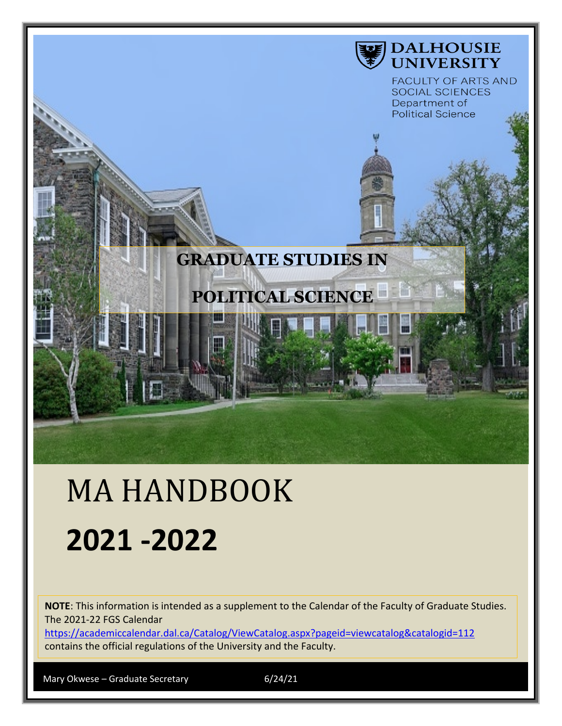

# MA HANDBOOK **2021 -2022**

**NOTE**: This information is intended as a supplement to the Calendar of the Faculty of Graduate Studies. The 2021-22 FGS Calendar

<https://academiccalendar.dal.ca/Catalog/ViewCatalog.aspx?pageid=viewcatalog&catalogid=112> contains the official regulations of the University and the Faculty.

Mary Okwese – Graduate Secretary 6/24/21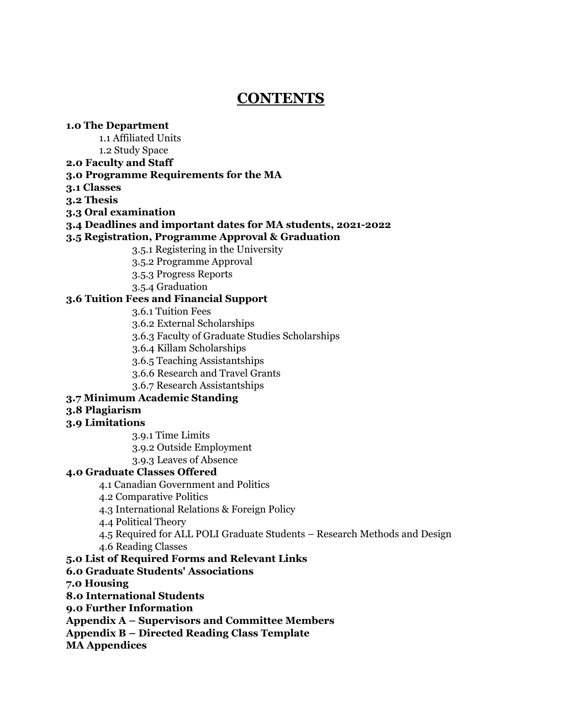## **CONTENTS**

#### **1.0 The Department**

1.1 Affiliated Units

1.2 Study Space

**2.0 Faculty and Staff**

#### **3.0 Programme Requirements for the MA**

**3.1 Classes**

**3.2 Thesis**

**3.3 Oral examination**

#### **3.4 Deadlines and important dates for MA students, 2021-2022**

#### **3.5 Registration, Programme Approval & Graduation**

3.5.1 Registering in the University

3.5.2 Programme Approval

3.5.3 Progress Reports

3.5.4 Graduation

#### **3.6 Tuition Fees and Financial Support**

3.6.1 Tuition Fees

3.6.2 External Scholarships

3.6.3 Faculty of Graduate Studies Scholarships

3.6.4 Killam Scholarships

3.6.5 Teaching Assistantships

3.6.6 Research and Travel Grants

3.6.7 Research Assistantships

#### **3.7 Minimum Academic Standing**

#### **3.8 Plagiarism**

#### **3.9 Limitations**

3.9.1 Time Limits

3.9.2 Outside Employment

3.9.3 Leaves of Absence

#### **4.0 Graduate Classes Offered**

4.1 Canadian Government and Politics

4.2 Comparative Politics

4.3 International Relations & Foreign Policy

4.4 Political Theory

4.5 Required for ALL POLI Graduate Students – Research Methods and Design

4.6 Reading Classes

#### **5.0 List of Required Forms and Relevant Links**

#### **6.0 Graduate Students' Associations**

**7.0 Housing**

**8.0 International Students**

**9.0 Further Information**

**Appendix A – Supervisors and Committee Members**

**Appendix B – Directed Reading Class Template**

**MA Appendices**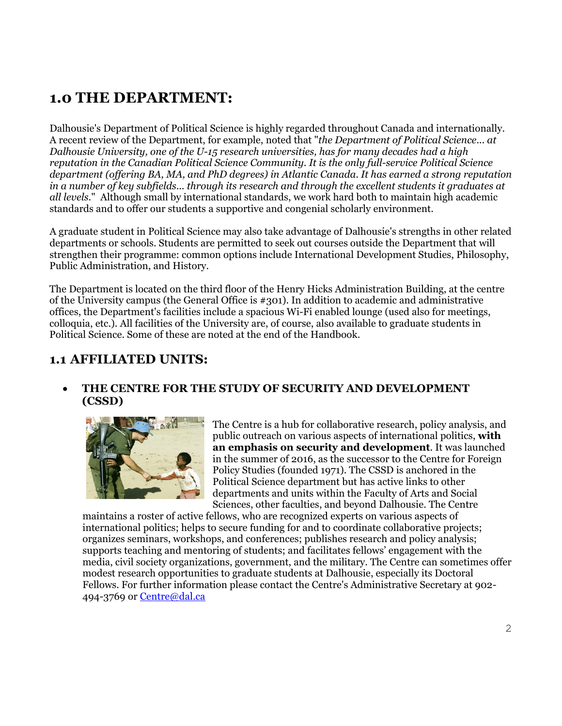# **1.0 THE DEPARTMENT:**

Dalhousie's Department of Political Science is highly regarded throughout Canada and internationally. A recent review of the Department, for example, noted that "*the Department of Political Science... at Dalhousie University, one of the U-15 research universities, has for many decades had a high reputation in the Canadian Political Science Community. It is the only full-service Political Science department (offering BA, MA, and PhD degrees) in Atlantic Canada. It has earned a strong reputation in a number of key subfields... through its research and through the excellent students it graduates at all levels*." Although small by international standards, we work hard both to maintain high academic standards and to offer our students a supportive and congenial scholarly environment.

A graduate student in Political Science may also take advantage of Dalhousie's strengths in other related departments or schools. Students are permitted to seek out courses outside the Department that will strengthen their programme: common options include International Development Studies, Philosophy, Public Administration, and History.

The Department is located on the third floor of the Henry Hicks Administration Building, at the centre of the University campus (the General Office is #301). In addition to academic and administrative offices, the Department's facilities include a spacious Wi-Fi enabled lounge (used also for meetings, colloquia, etc.). All facilities of the University are, of course, also available to graduate students in Political Science. Some of these are noted at the end of the Handbook.

## **1.1 AFFILIATED UNITS:**

### • **THE CENTRE FOR THE STUDY OF SECURITY AND DEVELOPMENT (CSSD)**



The Centre is a hub for collaborative research, policy analysis, and public outreach on various aspects of international politics, **with an emphasis on security and development**. It was launched in the summer of 2016, as the successor to the Centre for Foreign Policy Studies (founded 1971). The CSSD is anchored in the Political Science department but has active links to other departments and units within the Faculty of Arts and Social Sciences, other faculties, and beyond Dalhousie. The Centre

maintains a roster of active fellows, who are recognized experts on various aspects of international politics; helps to secure funding for and to coordinate collaborative projects; organizes seminars, workshops, and conferences; publishes research and policy analysis; supports teaching and mentoring of students; and facilitates fellows' engagement with the media, civil society organizations, government, and the military. The Centre can sometimes offer modest research opportunities to graduate students at Dalhousie, especially its Doctoral Fellows. For further information please contact the Centre's Administrative Secretary at 902- 494-3769 or [Centre@dal.ca](mailto:Centre@dal.ca)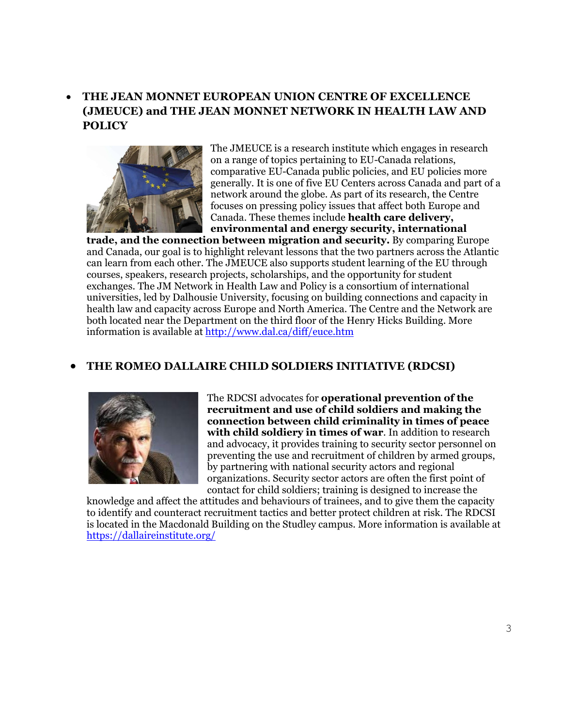## • **THE JEAN MONNET EUROPEAN UNION CENTRE OF EXCELLENCE (JMEUCE) and THE JEAN MONNET NETWORK IN HEALTH LAW AND POLICY**



The JMEUCE is a research institute which engages in research on a range of topics pertaining to EU-Canada relations, comparative EU-Canada public policies, and EU policies more generally. It is one of five EU Centers across Canada and part of a network around the globe. As part of its research, the Centre focuses on pressing policy issues that affect both Europe and Canada. These themes include **health care delivery, environmental and energy security, international** 

**trade, and the connection between migration and security.** By comparing Europe and Canada, our goal is to highlight relevant lessons that the two partners across the Atlantic can learn from each other. The JMEUCE also supports student learning of the EU through courses, speakers, research projects, scholarships, and the opportunity for student exchanges. The JM Network in Health Law and Policy is a consortium of international universities, led by Dalhousie University, focusing on building connections and capacity in health law and capacity across Europe and North America. The Centre and the Network are both located near the Department on the third floor of the Henry Hicks Building. More information is available at<http://www.dal.ca/diff/euce.htm>

## • **THE ROMEO DALLAIRE CHILD SOLDIERS INITIATIVE (RDCSI)**



The RDCSI advocates for **operational prevention of the recruitment and use of child soldiers and making the connection between child criminality in times of peace with child soldiery in times of war**. In addition to research and advocacy, it provides training to security sector personnel on preventing the use and recruitment of children by armed groups, by partnering with national security actors and regional organizations. Security sector actors are often the first point of contact for child soldiers; training is designed to increase the

knowledge and affect the attitudes and behaviours of trainees, and to give them the capacity to identify and counteract recruitment tactics and better protect children at risk. The RDCSI is located in the Macdonald Building on the Studley campus. More information is available at <https://dallaireinstitute.org/>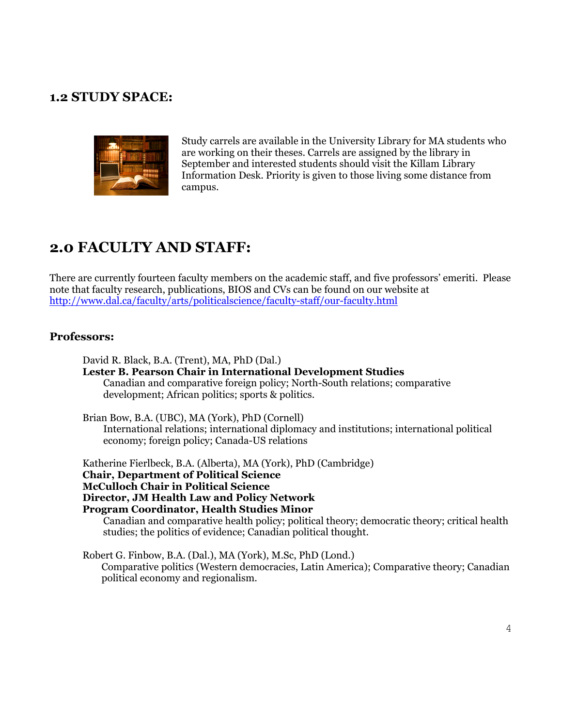## **1.2 STUDY SPACE:**



Study carrels are available in the University Library for MA students who are working on their theses. Carrels are assigned by the library in September and interested students should visit the Killam Library Information Desk. Priority is given to those living some distance from campus.

## **2.0 FACULTY AND STAFF:**

There are currently fourteen faculty members on the academic staff, and five professors' emeriti. Please note that faculty research, publications, BIOS and CVs can be found on our website at <http://www.dal.ca/faculty/arts/politicalscience/faculty-staff/our-faculty.html>

#### **Professors:**

David R. Black, B.A. (Trent), MA, PhD (Dal.) **Lester B. Pearson Chair in International Development Studies** Canadian and comparative foreign policy; North-South relations; comparative development; African politics; sports & politics.

Brian Bow, B.A. (UBC), MA (York), PhD (Cornell) International relations; international diplomacy and institutions; international political economy; foreign policy; Canada-US relations

Katherine Fierlbeck, B.A. (Alberta), MA (York), PhD (Cambridge) **Chair, Department of Political Science McCulloch Chair in Political Science Director, JM Health Law and Policy Network Program Coordinator, Health Studies Minor**

Canadian and comparative health policy; political theory; democratic theory; critical health studies; the politics of evidence; Canadian political thought.

Robert G. Finbow, B.A. (Dal.), MA (York), M.Sc, PhD (Lond.) Comparative politics (Western democracies, Latin America); Comparative theory; Canadian political economy and regionalism.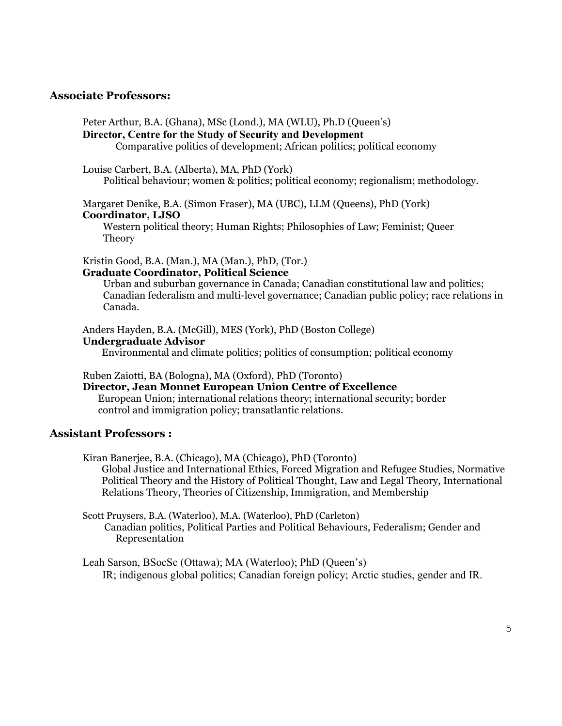#### **Associate Professors:**

Peter Arthur, B.A. (Ghana), MSc (Lond.), MA (WLU), Ph.D (Queen's) **Director, Centre for the Study of Security and Development**

Comparative politics of development; African politics; political economy

Louise Carbert, B.A. (Alberta), MA, PhD (York)

Political behaviour; women & politics; political economy; regionalism; methodology.

Margaret Denike, B.A. (Simon Fraser), MA (UBC), LLM (Queens), PhD (York) **Coordinator, LJSO**

Western political theory; Human Rights; Philosophies of Law; Feminist; Queer Theory

Kristin Good, B.A. (Man.), MA (Man.), PhD, (Tor.) **Graduate Coordinator, Political Science** 

Urban and suburban governance in Canada; Canadian constitutional law and politics; Canadian federalism and multi-level governance; Canadian public policy; race relations in Canada.

Anders Hayden, B.A. (McGill), MES (York), PhD (Boston College) **Undergraduate Advisor**

Environmental and climate politics; politics of consumption; political economy

Ruben Zaiotti, BA (Bologna), MA (Oxford), PhD (Toronto)

**Director, Jean Monnet European Union Centre of Excellence**

 European Union; international relations theory; international security; border control and immigration policy; transatlantic relations.

#### **Assistant Professors :**

Kiran Banerjee, B.A. (Chicago), MA (Chicago), PhD (Toronto) Global Justice and International Ethics, Forced Migration and Refugee Studies, Normative Political Theory and the History of Political Thought, Law and Legal Theory, International Relations Theory, Theories of Citizenship, Immigration, and Membership

Scott Pruysers, B.A. (Waterloo), M.A. (Waterloo), PhD (Carleton) Canadian politics, Political Parties and Political Behaviours, Federalism; Gender and Representation

Leah Sarson, BSocSc (Ottawa); MA (Waterloo); PhD (Queen's) IR; indigenous global politics; Canadian foreign policy; Arctic studies, gender and IR.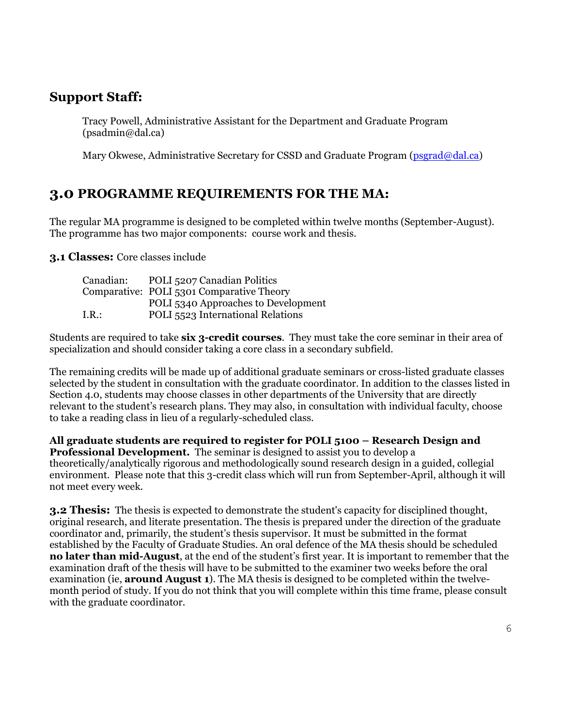## **Support Staff:**

Tracy Powell, Administrative Assistant for the Department and Graduate Program (psadmin@dal.ca)

Mary Okwese, Administrative Secretary for CSSD and Graduate Program [\(psgrad@dal.ca\)](mailto:psgrad@dal.ca)

## **3.0 PROGRAMME REQUIREMENTS FOR THE MA:**

The regular MA programme is designed to be completed within twelve months (September-August). The programme has two major components: course work and thesis.

**3.1 Classes:** Core classes include

| Canadian: | POLI 5207 Canadian Politics               |
|-----------|-------------------------------------------|
|           | Comparative: POLI 5301 Comparative Theory |
|           | POLI 5340 Approaches to Development       |
| I.R.:     | POLI 5523 International Relations         |

Students are required to take **six 3-credit courses**. They must take the core seminar in their area of specialization and should consider taking a core class in a secondary subfield.

The remaining credits will be made up of additional graduate seminars or cross-listed graduate classes selected by the student in consultation with the graduate coordinator. In addition to the classes listed in Section 4.0, students may choose classes in other departments of the University that are directly relevant to the student's research plans. They may also, in consultation with individual faculty, choose to take a reading class in lieu of a regularly-scheduled class.

**All graduate students are required to register for POLI 5100 – Research Design and Professional Development.** The seminar is designed to assist you to develop a theoretically/analytically rigorous and methodologically sound research design in a guided, collegial environment. Please note that this 3-credit class which will run from September-April, although it will not meet every week.

**3.2 Thesis:** The thesis is expected to demonstrate the student's capacity for disciplined thought, original research, and literate presentation. The thesis is prepared under the direction of the graduate coordinator and, primarily, the student's thesis supervisor. It must be submitted in the format established by the Faculty of Graduate Studies. An oral defence of the MA thesis should be scheduled **no later than mid-August**, at the end of the student's first year. It is important to remember that the examination draft of the thesis will have to be submitted to the examiner two weeks before the oral examination (ie, **around August 1**). The MA thesis is designed to be completed within the twelvemonth period of study. If you do not think that you will complete within this time frame, please consult with the graduate coordinator.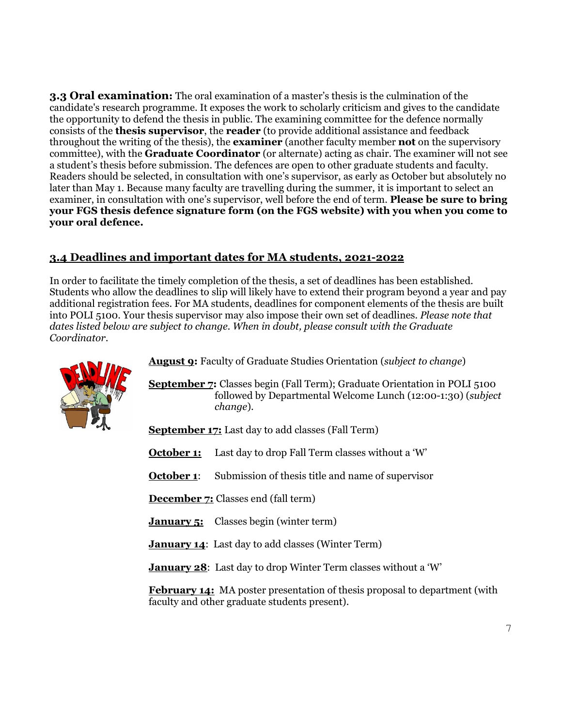**3.3 Oral examination:** The oral examination of a master's thesis is the culmination of the candidate's research programme. It exposes the work to scholarly criticism and gives to the candidate the opportunity to defend the thesis in public. The examining committee for the defence normally consists of the **thesis supervisor**, the **reader** (to provide additional assistance and feedback throughout the writing of the thesis), the **examiner** (another faculty member **not** on the supervisory committee), with the **Graduate Coordinator** (or alternate) acting as chair. The examiner will not see a student's thesis before submission. The defences are open to other graduate students and faculty. Readers should be selected, in consultation with one's supervisor, as early as October but absolutely no later than May 1. Because many faculty are travelling during the summer, it is important to select an examiner, in consultation with one's supervisor, well before the end of term. **Please be sure to bring your FGS thesis defence signature form (on the FGS website) with you when you come to your oral defence.**

## **3.4 Deadlines and important dates for MA students, 2021-2022**

In order to facilitate the timely completion of the thesis, a set of deadlines has been established. Students who allow the deadlines to slip will likely have to extend their program beyond a year and pay additional registration fees. For MA students, deadlines for component elements of the thesis are built into POLI 5100. Your thesis supervisor may also impose their own set of deadlines. *Please note that dates listed below are subject to change. When in doubt, please consult with the Graduate Coordinator.* 



**August 9:** Faculty of Graduate Studies Orientation (*subject to change*)

**September 7:** Classes begin (Fall Term); Graduate Orientation in POLI 5100 [follo](http://www.google.ca/imgres?q=deadlines&hl=en&biw=1920&bih=878&gbv=2&tbm=isch&tbnid=Qmjpm-opWnkaoM:&imgrefurl=http://progreso_hs.tripod.com/BI_MM/Assignments/&docid=TEIM3tvvuk0gPM&imgurl=http://progreso_hs.tripod.com/BI_MM/Images/Deadline%202.jpg&w=350&h=342&ei=1iKtT7avKLG26QHRoYXnDA&zoom=1&iact=hc&vpx=1366&vpy=156&dur=90&hovh=222&hovw=227&tx=109&ty=138&sig=118379731960222590915&page=1&tbnh=108&tbnw=111&start=0&ndsp=60&ved=1t:429,r:11,s:0,i:159) followed by Departmental Welcome Lunch (12:00-1:30) (*subject to change*).

**September 17:** Last day to add classes (Fall Term)

- **October 1:** Last day to drop Fall Term classes without a 'W'
- **October 1:** Submission of thesis title and name of supervisor

**December 7:** Classes end (fall term)

**January 5:** Classes begin (winter term)

**January 14**: Last day to add classes (Winter Term)

**January 28**: Last day to drop Winter Term classes without a 'W'

**February 14:** MA poster presentation of thesis proposal to department (with faculty and other graduate students present).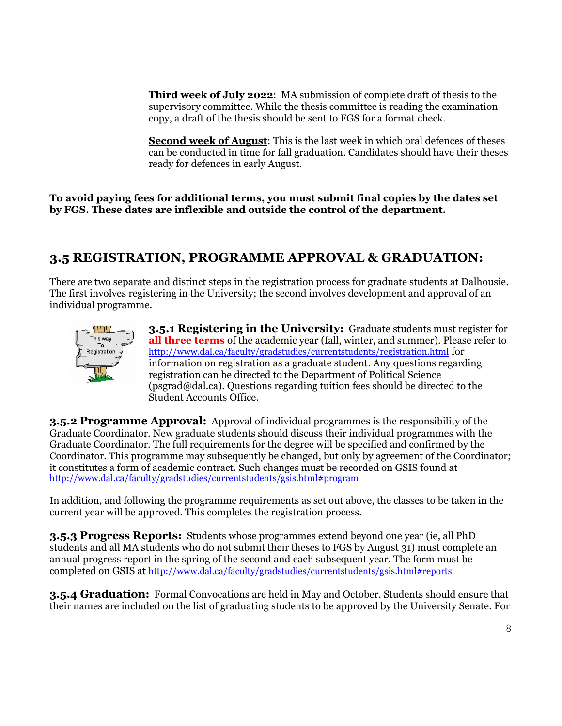**Third week of July 2022**: MA submission of complete draft of thesis to the supervisory committee. While the thesis committee is reading the examination copy, a draft of the thesis should be sent to FGS for a format check.

**Second week of August**: This is the last week in which oral defences of theses can be conducted in time for fall graduation. Candidates should have their theses ready for defences in early August.

**To avoid paying fees for additional terms, you must submit final copies by the dates set by FGS. These dates are inflexible and outside the control of the department.** 

## **3.5 REGISTRATION, PROGRAMME APPROVAL & GRADUATION:**

There are two separate and distinct steps in the registration process for graduate students at Dalhousie. The first involves registering in the University; the second involves development and approval of an individual programme.



**3.5.1 Registering in the University:** Graduate students must register for **all three terms** of the academic year (fall, winter, and summer). Please refer to <http://www.dal.ca/faculty/gradstudies/currentstudents/registration.html> for information on registration as a graduate student. Any questions regarding registration can be directed to the Department of Political Science (psgrad@dal.ca). Questions regarding tuition fees should be directed to the Student Accounts Office.

**3.5.2 Programme Approval:** Approval of individual programmes is the responsibility of the Graduate Coordinator. New graduate students should discuss their individual programmes with the Graduate Coordinator. The full requirements for the degree will be specified and confirmed by the Coordinator. This programme may subsequently be changed, but only by agreement of the Coordinator; it constitutes a form of academic contract. Such changes must be recorded on GSIS found at <http://www.dal.ca/faculty/gradstudies/currentstudents/gsis.html#program>

In addition, and following the programme requirements as set out above, the classes to be taken in the current year will be approved. This completes the registration process.

**3.5.3 Progress Reports:** Students whose programmes extend beyond one year (ie, all PhD students and all MA students who do not submit their theses to FGS by August 31) must complete an annual progress report in the spring of the second and each subsequent year. The form must be completed on GSIS at <http://www.dal.ca/faculty/gradstudies/currentstudents/gsis.html#reports>

**3.5.4 Graduation:** Formal Convocations are held in May and October. Students should ensure that their names are included on the list of graduating students to be approved by the University Senate. For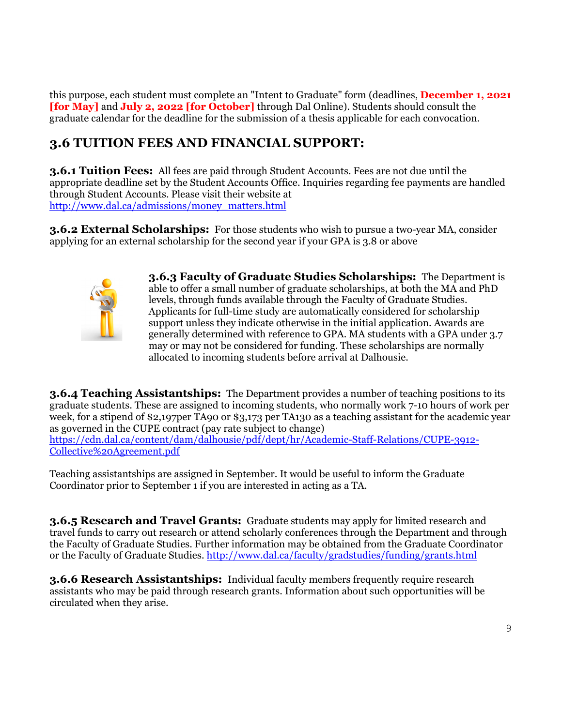this purpose, each student must complete an "Intent to Graduate" form (deadlines, **December 1, 2021 [for May]** and **July 2, 2022 [for October]** through Dal Online). Students should consult the graduate calendar for the deadline for the submission of a thesis applicable for each convocation.

## **3.6 TUITION FEES AND FINANCIAL SUPPORT:**

**3.6.1 Tuition Fees:** All fees are paid through Student Accounts. Fees are not due until the appropriate deadline set by the Student Accounts Office. Inquiries regarding fee payments are handled through Student Accounts. Please visit their website at [http://www.dal.ca/admissions/money\\_matters.html](http://www.dal.ca/admissions/money_matters.html)

**3.6.2 External Scholarships:** For those students who wish to pursue a two-year MA, consider applying for an external scholarship for the second year if your GPA is 3.8 or above



**3.6.3 Faculty of Graduate Studies Scholarships:** The Department is able to offer a small number of graduate scholarships, at both the MA and PhD levels, through funds available through the Faculty of Graduate Studies. Applicants for full-time study are automatically considered for scholarship support unless they indicate otherwise in the initial application. Awards are generally determined with reference to GPA. MA students with a GPA under 3.7 may or may not be considered for funding. These scholarships are normally allocated to incoming students before arrival at Dalhousie.

**3.6.4 Teaching Assistantships:** The Department provides a number of teaching positions to its graduate students. These are assigned to incoming students, who normally work 7-10 hours of work per week, for a stipend of \$2,197per TA90 or \$3,173 per TA130 as a teaching assistant for the academic year as governed in the CUPE contract (pay rate subject to change) [https://cdn.dal.ca/content/dam/dalhousie/pdf/dept/hr/Academic-Staff-Relations/CUPE-3912-](https://cdn.dal.ca/content/dam/dalhousie/pdf/dept/hr/Academic-Staff-Relations/CUPE-3912-Collective%20Agreement.pdf) [Collective%20Agreement.pdf](https://cdn.dal.ca/content/dam/dalhousie/pdf/dept/hr/Academic-Staff-Relations/CUPE-3912-Collective%20Agreement.pdf)

Teaching assistantships are assigned in September. It would be useful to inform the Graduate Coordinator prior to September 1 if you are interested in acting as a TA.

**3.6.5 Research and Travel Grants:** Graduate students may apply for limited research and travel funds to carry out research or attend scholarly conferences through the Department and through the Faculty of Graduate Studies. Further information may be obtained from the Graduate Coordinator or the Faculty of Graduate Studies.<http://www.dal.ca/faculty/gradstudies/funding/grants.html>

**3.6.6 Research Assistantships:** Individual faculty members frequently require research assistants who may be paid through research grants. Information about such opportunities will be circulated when they arise.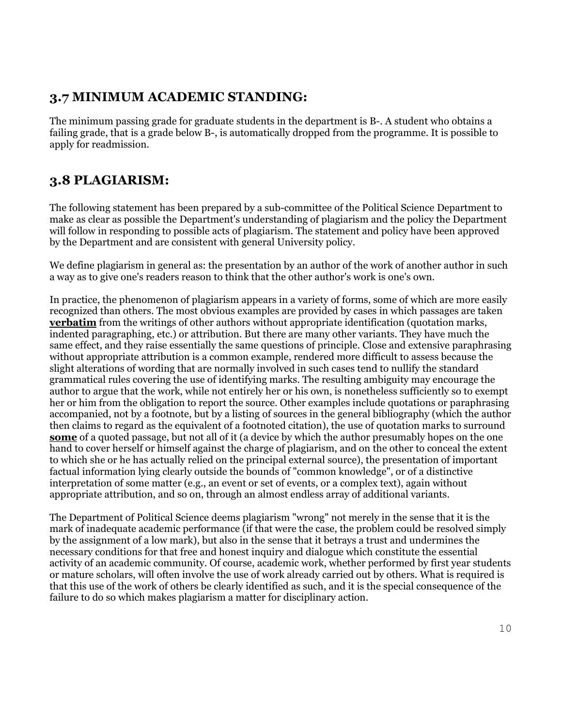## **3.7 MINIMUM ACADEMIC STANDING:**

The minimum passing grade for graduate students in the department is B-. A student who obtains a failing grade, that is a grade below B-, is automatically dropped from the programme. It is possible to apply for readmission.

## **3.8 PLAGIARISM:**

The following statement has been prepared by a sub-committee of the Political Science Department to make as clear as possible the Department's understanding of plagiarism and the policy the Department will follow in responding to possible acts of plagiarism. The statement and policy have been approved by the Department and are consistent with general University policy.

We define plagiarism in general as: the presentation by an author of the work of another author in such a way as to give one's readers reason to think that the other author's work is one's own.

In practice, the phenomenon of plagiarism appears in a variety of forms, some of which are more easily recognized than others. The most obvious examples are provided by cases in which passages are taken **verbatim** from the writings of other authors without appropriate identification (quotation marks, indented paragraphing, etc.) or attribution. But there are many other variants. They have much the same effect, and they raise essentially the same questions of principle. Close and extensive paraphrasing without appropriate attribution is a common example, rendered more difficult to assess because the slight alterations of wording that are normally involved in such cases tend to nullify the standard grammatical rules covering the use of identifying marks. The resulting ambiguity may encourage the author to argue that the work, while not entirely her or his own, is nonetheless sufficiently so to exempt her or him from the obligation to report the source. Other examples include quotations or paraphrasing accompanied, not by a footnote, but by a listing of sources in the general bibliography (which the author then claims to regard as the equivalent of a footnoted citation), the use of quotation marks to surround **some** of a quoted passage, but not all of it (a device by which the author presumably hopes on the one hand to cover herself or himself against the charge of plagiarism, and on the other to conceal the extent to which she or he has actually relied on the principal external source), the presentation of important factual information lying clearly outside the bounds of "common knowledge", or of a distinctive interpretation of some matter (e.g., an event or set of events, or a complex text), again without appropriate attribution, and so on, through an almost endless array of additional variants.

The Department of Political Science deems plagiarism "wrong" not merely in the sense that it is the mark of inadequate academic performance (if that were the case, the problem could be resolved simply by the assignment of a low mark), but also in the sense that it betrays a trust and undermines the necessary conditions for that free and honest inquiry and dialogue which constitute the essential activity of an academic community. Of course, academic work, whether performed by first year students or mature scholars, will often involve the use of work already carried out by others. What is required is that this use of the work of others be clearly identified as such, and it is the special consequence of the failure to do so which makes plagiarism a matter for disciplinary action.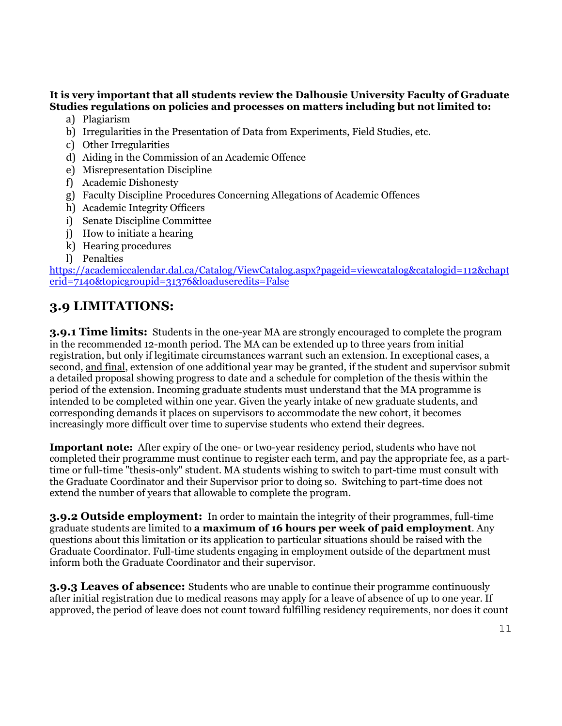### **It is very important that all students review the Dalhousie University Faculty of Graduate Studies regulations on policies and processes on matters including but not limited to:**

- a) Plagiarism
- b) Irregularities in the Presentation of Data from Experiments, Field Studies, etc.
- c) Other Irregularities
- d) Aiding in the Commission of an Academic Offence
- e) Misrepresentation Discipline
- f) Academic Dishonesty
- g) Faculty Discipline Procedures Concerning Allegations of Academic Offences
- h) Academic Integrity Officers
- i) Senate Discipline Committee
- j) How to initiate a hearing
- k) Hearing procedures
- l) Penalties

[https://academiccalendar.dal.ca/Catalog/ViewCatalog.aspx?pageid=viewcatalog&catalogid=112&chapt](https://academiccalendar.dal.ca/Catalog/ViewCatalog.aspx?pageid=viewcatalog&catalogid=112&chapterid=7140&topicgroupid=31376&loaduseredits=False) [erid=7140&topicgroupid=31376&loaduseredits=False](https://academiccalendar.dal.ca/Catalog/ViewCatalog.aspx?pageid=viewcatalog&catalogid=112&chapterid=7140&topicgroupid=31376&loaduseredits=False)

## **3.9 LIMITATIONS:**

**3.9.1 Time limits:** Students in the one-year MA are strongly encouraged to complete the program in the recommended 12-month period. The MA can be extended up to three years from initial registration, but only if legitimate circumstances warrant such an extension. In exceptional cases, a second, and final, extension of one additional year may be granted, if the student and supervisor submit a detailed proposal showing progress to date and a schedule for completion of the thesis within the period of the extension. Incoming graduate students must understand that the MA programme is intended to be completed within one year. Given the yearly intake of new graduate students, and corresponding demands it places on supervisors to accommodate the new cohort, it becomes increasingly more difficult over time to supervise students who extend their degrees.

**Important note:** After expiry of the one- or two-year residency period, students who have not completed their programme must continue to register each term, and pay the appropriate fee, as a parttime or full-time "thesis-only" student. MA students wishing to switch to part-time must consult with the Graduate Coordinator and their Supervisor prior to doing so. Switching to part-time does not extend the number of years that allowable to complete the program.

**3.9.2 Outside employment:** In order to maintain the integrity of their programmes, full-time graduate students are limited to **a maximum of 16 hours per week of paid employment**. Any questions about this limitation or its application to particular situations should be raised with the Graduate Coordinator. Full-time students engaging in employment outside of the department must inform both the Graduate Coordinator and their supervisor.

**3.9.3 Leaves of absence:** Students who are unable to continue their programme continuously after initial registration due to medical reasons may apply for a leave of absence of up to one year. If approved, the period of leave does not count toward fulfilling residency requirements, nor does it count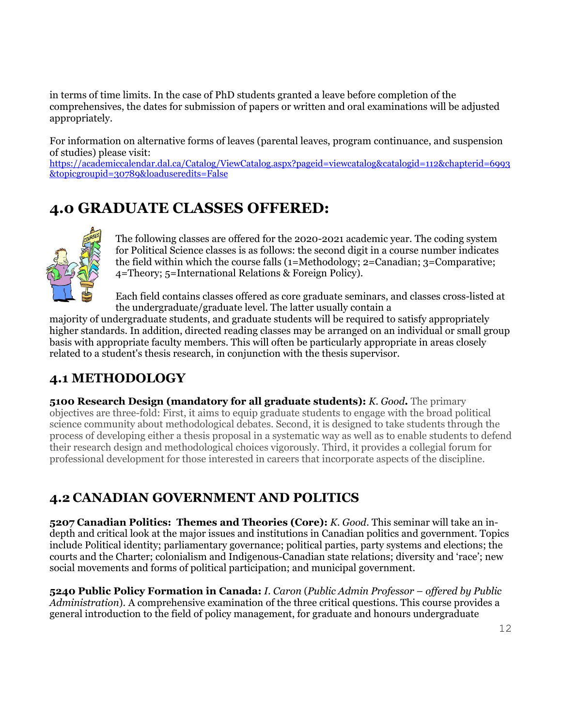in terms of time limits. In the case of PhD students granted a leave before completion of the comprehensives, the dates for submission of papers or written and oral examinations will be adjusted appropriately.

For information on alternative forms of leaves (parental leaves, program continuance, and suspension of studies) please visit:

[https://academiccalendar.dal.ca/Catalog/ViewCatalog.aspx?pageid=viewcatalog&catalogid=112&chapterid=6993](https://academiccalendar.dal.ca/Catalog/ViewCatalog.aspx?pageid=viewcatalog&catalogid=112&chapterid=6993&topicgroupid=30789&loaduseredits=False) [&topicgroupid=30789&loaduseredits=False](https://academiccalendar.dal.ca/Catalog/ViewCatalog.aspx?pageid=viewcatalog&catalogid=112&chapterid=6993&topicgroupid=30789&loaduseredits=False)

# **4.0 GRADUATE CLASSES OFFERED:**



The following classes are offered for the 2020-2021 academic year. The coding system for Political Science classes is as follows: the second digit in a course number indicates the field within which the course falls (1=Methodology; 2=Canadian; 3=Comparative; 4=Theory; 5=International Relations & Foreign Policy).

Each field contains classes offered as core graduate seminars, and classes cross-listed at the undergraduate/graduate level. The latter usually contain a

majority of undergraduate students, and graduate students will be required to satisfy appropriately higher standards. In addition, directed reading classes may be arranged on an individual or small group basis with appropriate faculty members. This will often be particularly appropriate in areas closely related to a student's thesis research, in conjunction with the thesis supervisor.

## **4.1 METHODOLOGY**

**5100 Research Design (mandatory for all graduate students):** *K. Good***.** The primary objectives are three-fold: First, it aims to equip graduate students to engage with the broad political science community about methodological debates. Second, it is designed to take students through the process of developing either a thesis proposal in a systematic way as well as to enable students to defend their research design and methodological choices vigorously. Third, it provides a collegial forum for professional development for those interested in careers that incorporate aspects of the discipline.

## **4.2 CANADIAN GOVERNMENT AND POLITICS**

**5207 Canadian Politics: Themes and Theories (Core):** *K. Good*. This seminar will take an indepth and critical look at the major issues and institutions in Canadian politics and government. Topics include Political identity; parliamentary governance; political parties, party systems and elections; the courts and the Charter; colonialism and Indigenous-Canadian state relations; diversity and 'race'; new social movements and forms of political participation; and municipal government.

**5240 Public Policy Formation in Canada:** *I. Caron* (*Public Admin Professor – offered by Public Administration*). A comprehensive examination of the three critical questions. This course provides a general introduction to the field of policy management, for graduate and honours undergraduate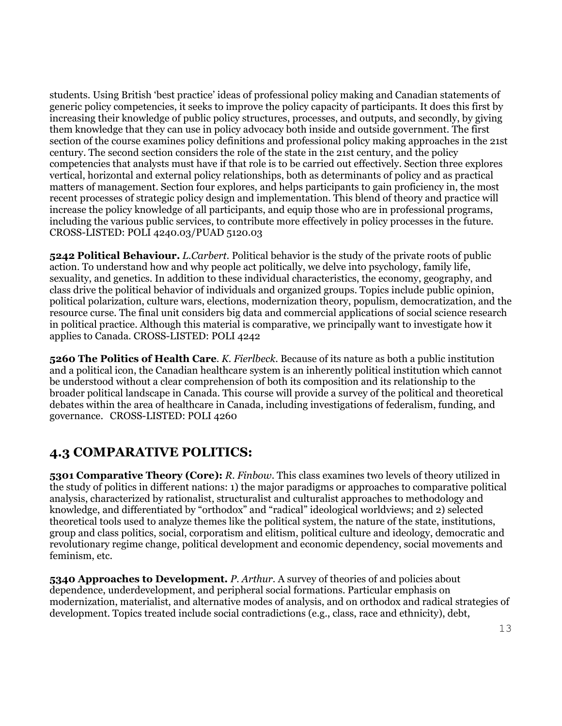students. Using British 'best practice' ideas of professional policy making and Canadian statements of generic policy competencies, it seeks to improve the policy capacity of participants. It does this first by increasing their knowledge of public policy structures, processes, and outputs, and secondly, by giving them knowledge that they can use in policy advocacy both inside and outside government. The first section of the course examines policy definitions and professional policy making approaches in the 21st century. The second section considers the role of the state in the 21st century, and the policy competencies that analysts must have if that role is to be carried out effectively. Section three explores vertical, horizontal and external policy relationships, both as determinants of policy and as practical matters of management. Section four explores, and helps participants to gain proficiency in, the most recent processes of strategic policy design and implementation. This blend of theory and practice will increase the policy knowledge of all participants, and equip those who are in professional programs, including the various public services, to contribute more effectively in policy processes in the future. CROSS-LISTED: POLI [4240.](http://academiccalendar.dal.ca/Catalog/ViewCatalog.aspx?pageid=viewcatalog&topicgroupid=11718&entitytype=CID&entitycode=POLI+4240)03[/PUAD](http://academiccalendar.dal.ca/Catalog/ViewCatalog.aspx?pageid=viewcatalog&topicgroupid=11718&entitytype=CID&entitycode=PUAD+5120) 5120.03

**5242 Political Behaviour.** *L.Carbert.* Political behavior is the study of the private roots of public action. To understand how and why people act politically, we delve into psychology, family life, sexuality, and genetics. In addition to these individual characteristics, the economy, geography, and class drive the political behavior of individuals and organized groups. Topics include public opinion, political polarization, culture wars, elections, modernization theory, populism, democratization, and the resource curse. The final unit considers big data and commercial applications of social science research in political practice. Although this material is comparative, we principally want to investigate how it applies to Canada. CROSS-LISTED: POLI 4242

**5260 The Politics of Health Care**. *K. Fierlbeck.* Because of its nature as both a public institution and a political icon, the Canadian healthcare system is an inherently political institution which cannot be understood without a clear comprehension of both its composition and its relationship to the broader political landscape in Canada. This course will provide a survey of the political and theoretical debates within the area of healthcare in Canada, including investigations of federalism, funding, and governance. CROSS-LISTED: POLI 4260

## **4.3 COMPARATIVE POLITICS:**

**5301 Comparative Theory (Core):** *R. Finbow*. This class examines two levels of theory utilized in the study of politics in different nations: 1) the major paradigms or approaches to comparative political analysis, characterized by rationalist, structuralist and culturalist approaches to methodology and knowledge, and differentiated by "orthodox" and "radical" ideological worldviews; and 2) selected theoretical tools used to analyze themes like the political system, the nature of the state, institutions, group and class politics, social, corporatism and elitism, political culture and ideology, democratic and revolutionary regime change, political development and economic dependency, social movements and feminism, etc.

**5340 Approaches to Development.** *P. Arthur*. A survey of theories of and policies about dependence, underdevelopment, and peripheral social formations. Particular emphasis on modernization, materialist, and alternative modes of analysis, and on orthodox and radical strategies of development. Topics treated include social contradictions (e.g., class, race and ethnicity), debt,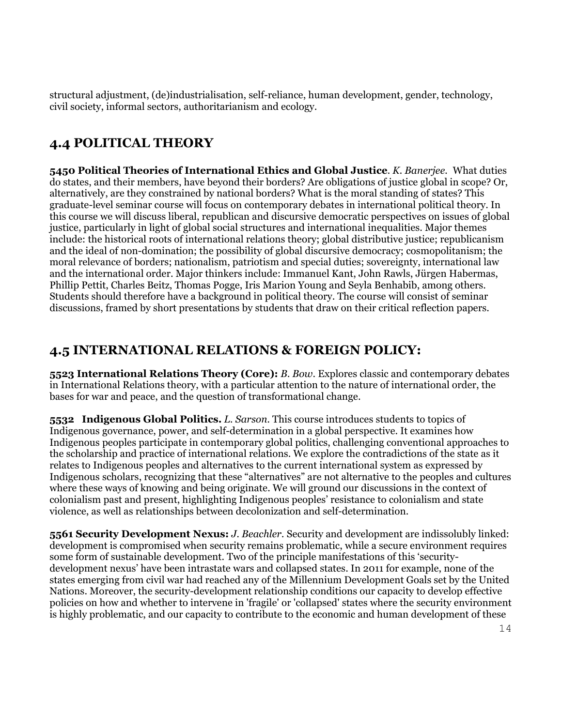structural adjustment, (de)industrialisation, self-reliance, human development, gender, technology, civil society, informal sectors, authoritarianism and ecology.

## **4.4 POLITICAL THEORY**

**5450 Political Theories of International Ethics and Global Justice***. K. Banerjee.*What duties do states, and their members, have beyond their borders? Are obligations of justice global in scope? Or, alternatively, are they constrained by national borders? What is the moral standing of states? This graduate-level seminar course will focus on contemporary debates in international political theory. In this course we will discuss liberal, republican and discursive democratic perspectives on issues of global justice, particularly in light of global social structures and international inequalities. Major themes include: the historical roots of international relations theory; global distributive justice; republicanism and the ideal of non-domination; the possibility of global discursive democracy; cosmopolitanism; the moral relevance of borders; nationalism, patriotism and special duties; sovereignty, international law and the international order. Major thinkers include: Immanuel Kant, John Rawls, Jürgen Habermas, Phillip Pettit, Charles Beitz, Thomas Pogge, Iris Marion Young and Seyla Benhabib, among others. Students should therefore have a background in political theory. The course will consist of seminar discussions, framed by short presentations by students that draw on their critical reflection papers.

## **4.5 INTERNATIONAL RELATIONS & FOREIGN POLICY:**

**5523 International Relations Theory (Core):** *B. Bow*. Explores classic and contemporary debates in International Relations theory, with a particular attention to the nature of international order, the bases for war and peace, and the question of transformational change.

**5532 Indigenous Global Politics.** *L. Sarson.* This course introduces students to topics of Indigenous governance, power, and self-determination in a global perspective. It examines how Indigenous peoples participate in contemporary global politics, challenging conventional approaches to the scholarship and practice of international relations. We explore the contradictions of the state as it relates to Indigenous peoples and alternatives to the current international system as expressed by Indigenous scholars, recognizing that these "alternatives" are not alternative to the peoples and cultures where these ways of knowing and being originate. We will ground our discussions in the context of colonialism past and present, highlighting Indigenous peoples' resistance to colonialism and state violence, as well as relationships between decolonization and self-determination.

**5561 Security Development Nexus:** *J. Beachler.* Security and development are indissolubly linked: development is compromised when security remains problematic, while a secure environment requires some form of sustainable development. Two of the principle manifestations of this 'securitydevelopment nexus' have been intrastate wars and collapsed states. In 2011 for example, none of the states emerging from civil war had reached any of the Millennium Development Goals set by the United Nations. Moreover, the security-development relationship conditions our capacity to develop effective policies on how and whether to intervene in 'fragile' or 'collapsed' states where the security environment is highly problematic, and our capacity to contribute to the economic and human development of these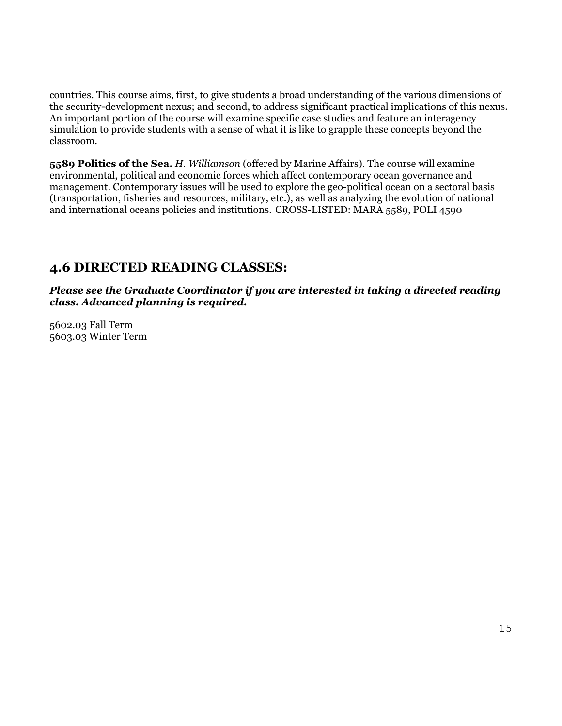countries. This course aims, first, to give students a broad understanding of the various dimensions of the security-development nexus; and second, to address significant practical implications of this nexus. An important portion of the course will examine specific case studies and feature an interagency simulation to provide students with a sense of what it is like to grapple these concepts beyond the classroom.

**5589 Politics of the Sea.** *H. Williamson* (offered by Marine Affairs). The course will examine environmental, political and economic forces which affect contemporary ocean governance and management. Contemporary issues will be used to explore the geo-political ocean on a sectoral basis (transportation, fisheries and resources, military, etc.), as well as analyzing the evolution of national and international oceans policies and institutions. CROSS-LISTED: MARA 5589, POLI 4590

## **4.6 DIRECTED READING CLASSES:**

*Please see the Graduate Coordinator if you are interested in taking a directed reading class. Advanced planning is required.* 

5602.03 Fall Term 5603.03 Winter Term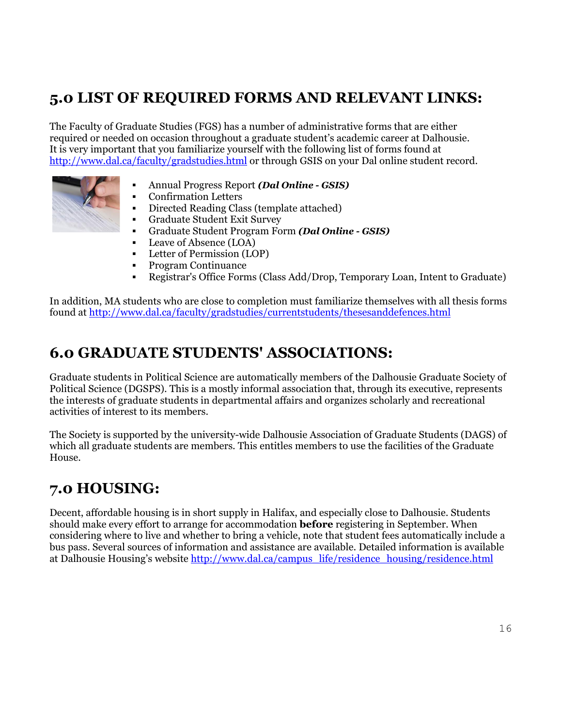# **5.0 LIST OF REQUIRED FORMS AND RELEVANT LINKS:**

The Faculty of Graduate Studies (FGS) has a number of administrative forms that are either required or needed on occasion throughout a graduate student's academic career at Dalhousie. It is very important that you familiarize yourself with the following list of forms found at <http://www.dal.ca/faculty/gradstudies.html> or through GSIS on your Dal online student record.



- [Annual Progress Report](http://dalgrad.dal.ca/currentstudents/forms/#progress) *(Dal Online - GSIS)*
- [Confirmation Letters](http://dalgrad.dal.ca/currentstudents/forms/#conf)
- [Directed Reading](http://dalgrad.dal.ca/currentstudents/forms/#directread) Class (template attached)
- [Graduate Student Exit Survey](http://dalgrad.dal.ca/currentstudents/forms/#exitsurvey)
- [Graduate Student Program Form](http://dalgrad.dal.ca/currentstudents/forms/#progform) *(Dal Online - GSIS)*
- [Leave of Absence \(LOA\)](http://dalgrad.dal.ca/currentstudents/forms/#loa)
- **[Letter of Permission \(LOP\)](http://dalgrad.dal.ca/currentstudents/forms/#lop)**
- [Program Continuance](http://dalgrad.dal.ca/currentstudents/forms/#requestpc)
- [Registrar's Office Forms](http://dalgrad.dal.ca/currentstudents/forms/#ro) [\(Class Add/Drop,](http://dalgrad.dal.ca/currentstudents/forms/#adddrop) [Temporary Loan,](http://dalgrad.dal.ca/currentstudents/forms/#temploan) [Intent to Graduate\)](http://dalgrad.dal.ca/currentstudents/forms/#intentgraduate)

In addition, MA students who are close to completion must familiarize themselves with all thesis forms found at<http://www.dal.ca/faculty/gradstudies/currentstudents/thesesanddefences.html>

# **6.0 GRADUATE STUDENTS' ASSOCIATIONS:**

Graduate students in Political Science are automatically members of the Dalhousie Graduate Society of Political Science (DGSPS). This is a mostly informal association that, through its executive, represents the interests of graduate students in departmental affairs and organizes scholarly and recreational activities of interest to its members.

The Society is supported by the university-wide Dalhousie Association of Graduate Students (DAGS) of which all graduate students are members. This entitles members to use the facilities of the Graduate House.

# **7.0 HOUSING:**

Decent, affordable housing is in short supply in Halifax, and especially close to Dalhousie. Students should make every effort to arrange for accommodation **before** registering in September. When considering where to live and whether to bring a vehicle, note that student fees automatically include a bus pass. Several sources of information and assistance are available. Detailed information is available at Dalhousie Housing's website [http://www.dal.ca/campus\\_life/residence\\_housing/residence.html](http://www.dal.ca/campus_life/residence_housing/residence.html)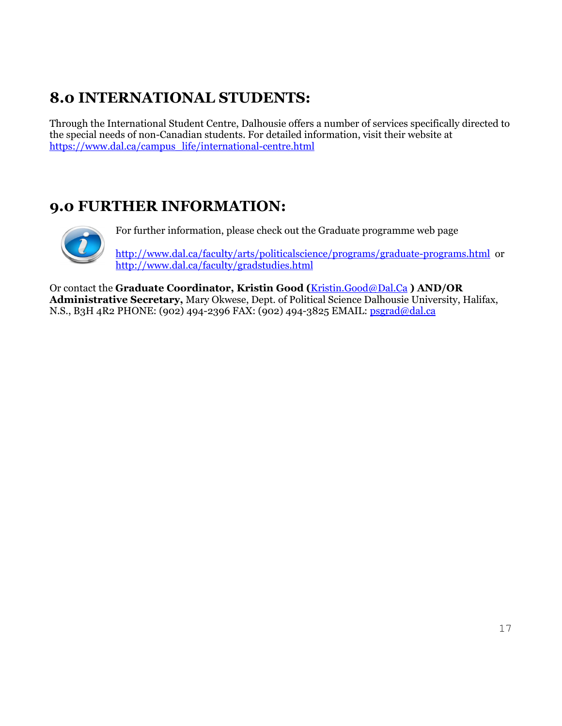# **8.0 INTERNATIONAL STUDENTS:**

Through the International Student Centre, Dalhousie offers a number of services specifically directed to the special needs of non-Canadian students. For detailed information, visit their website at [https://www.dal.ca/campus\\_life/international-centre.html](https://www.dal.ca/campus_life/international-centre.html)

# **9.0 FURTHER INFORMATION:**



For further information, please check out the Graduate programme web page

<http://www.dal.ca/faculty/arts/politicalscience/programs/graduate-programs.html> or <http://www.dal.ca/faculty/gradstudies.html>

Or contact the **Graduate Coordinator, Kristin Good (**[Kristin.Good@Dal.Ca](mailto:Kristin.Good@Dal.Ca) **) AND/OR Administrative Secretary,** Mary Okwese, Dept. of Political Science Dalhousie University, Halifax, N.S., B3H 4R2 PHONE: (902) 494-2396 FAX: (902) 494-3825 EMAIL: [psgrad@dal.ca](mailto:psgrad@dal.ca)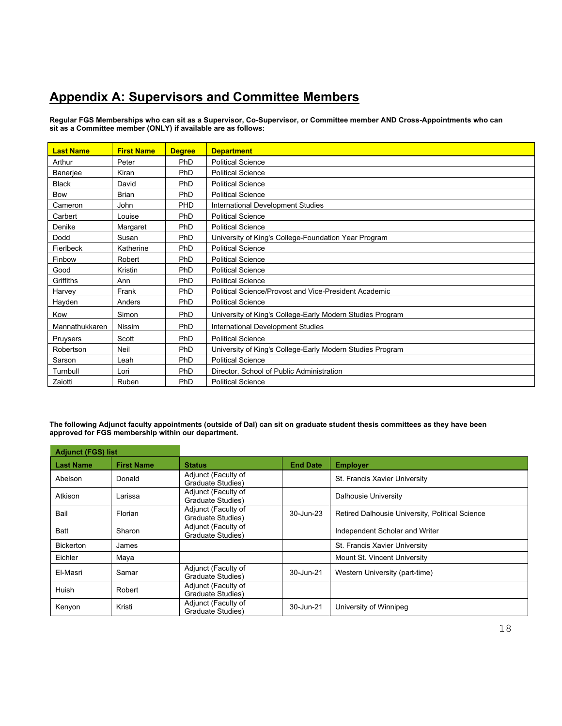## **Appendix A: Supervisors and Committee Members**

**Regular FGS Memberships who can sit as a Supervisor, Co-Supervisor, or Committee member AND Cross-Appointments who can sit as a Committee member (ONLY) if available are as follows:**

| <b>Last Name</b> | <b>First Name</b> | <b>Degree</b> | <b>Department</b>                                         |
|------------------|-------------------|---------------|-----------------------------------------------------------|
| Arthur           | Peter             | PhD           | <b>Political Science</b>                                  |
| Banerjee         | Kiran             | PhD           | <b>Political Science</b>                                  |
| <b>Black</b>     | David             | PhD           | <b>Political Science</b>                                  |
| <b>Bow</b>       | <b>Brian</b>      | PhD           | <b>Political Science</b>                                  |
| Cameron          | John              | PHD           | International Development Studies                         |
| Carbert          | Louise            | PhD           | <b>Political Science</b>                                  |
| Denike           | Margaret          | PhD           | <b>Political Science</b>                                  |
| Dodd             | Susan             | PhD           | University of King's College-Foundation Year Program      |
| Fierlbeck        | Katherine         | PhD           | <b>Political Science</b>                                  |
| Finbow           | Robert            | PhD           | <b>Political Science</b>                                  |
| Good             | Kristin           | PhD           | <b>Political Science</b>                                  |
| Griffiths        | Ann               | PhD           | <b>Political Science</b>                                  |
| Harvey           | Frank             | PhD           | Political Science/Provost and Vice-President Academic     |
| Hayden           | Anders            | PhD           | <b>Political Science</b>                                  |
| Kow              | Simon             | PhD           | University of King's College-Early Modern Studies Program |
| Mannathukkaren   | <b>Nissim</b>     | PhD           | International Development Studies                         |
| Pruysers         | Scott             | PhD           | <b>Political Science</b>                                  |
| Robertson        | Neil              | PhD           | University of King's College-Early Modern Studies Program |
| Sarson           | Leah              | PhD           | <b>Political Science</b>                                  |
| Turnbull         | Lori              | PhD           | Director, School of Public Administration                 |
| Zaiotti          | Ruben             | PhD           | <b>Political Science</b>                                  |

**The following Adjunct faculty appointments (outside of Dal) can sit on graduate student thesis committees as they have been approved for FGS membership within our department.**

| <b>Adjunct (FGS) list</b> |                   |                                                  |                 |                                                 |  |
|---------------------------|-------------------|--------------------------------------------------|-----------------|-------------------------------------------------|--|
| <b>Last Name</b>          | <b>First Name</b> | <b>Status</b>                                    | <b>End Date</b> | <b>Employer</b>                                 |  |
| Abelson                   | Donald            | Adjunct (Faculty of<br>Graduate Studies)         |                 | St. Francis Xavier University                   |  |
| Atkison                   | Larissa           | Adjunct (Faculty of<br><b>Graduate Studies</b> ) |                 | Dalhousie University                            |  |
| Bail                      | Florian           | Adjunct (Faculty of<br><b>Graduate Studies</b> ) | 30-Jun-23       | Retired Dalhousie University, Political Science |  |
| <b>Batt</b>               | Sharon            | Adjunct (Faculty of<br>Graduate Studies)         |                 | Independent Scholar and Writer                  |  |
| <b>Bickerton</b>          | James             |                                                  |                 | St. Francis Xavier University                   |  |
| Eichler                   | Maya              |                                                  |                 | Mount St. Vincent University                    |  |
| El-Masri                  | Samar             | Adjunct (Faculty of<br>Graduate Studies)         | 30-Jun-21       | Western University (part-time)                  |  |
| Huish                     | Robert            | Adjunct (Faculty of<br>Graduate Studies)         |                 |                                                 |  |
| Kenyon                    | Kristi            | Adjunct (Faculty of<br><b>Graduate Studies</b> ) | 30-Jun-21       | University of Winnipeg                          |  |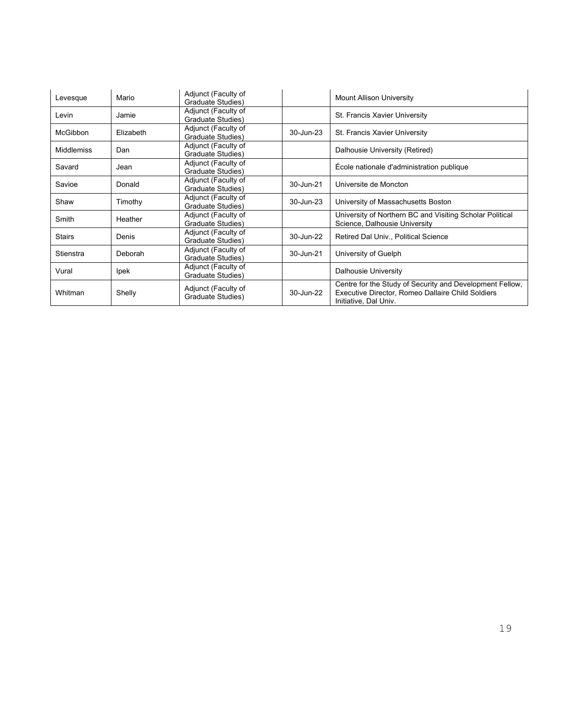| Levesque          | Mario       | Adjunct (Faculty of<br>Graduate Studies) |           | Mount Allison University                                                                                                               |  |
|-------------------|-------------|------------------------------------------|-----------|----------------------------------------------------------------------------------------------------------------------------------------|--|
| Levin             | Jamie       | Adjunct (Faculty of<br>Graduate Studies) |           | St. Francis Xavier University                                                                                                          |  |
| <b>McGibbon</b>   | Elizabeth   | Adjunct (Faculty of<br>Graduate Studies) | 30-Jun-23 | St. Francis Xavier University                                                                                                          |  |
| <b>Middlemiss</b> | Dan         | Adjunct (Faculty of<br>Graduate Studies) |           | Dalhousie University (Retired)                                                                                                         |  |
| Savard            | Jean        | Adjunct (Faculty of<br>Graduate Studies) |           | École nationale d'administration publique                                                                                              |  |
| Savioe            | Donald      | Adjunct (Faculty of<br>Graduate Studies) | 30-Jun-21 | Universite de Moncton                                                                                                                  |  |
| Shaw              | Timothy     | Adjunct (Faculty of<br>Graduate Studies) | 30-Jun-23 | University of Massachusetts Boston                                                                                                     |  |
| Smith             | Heather     | Adjunct (Faculty of<br>Graduate Studies) |           | University of Northern BC and Visiting Scholar Political<br>Science, Dalhousie University                                              |  |
| <b>Stairs</b>     | Denis       | Adjunct (Faculty of<br>Graduate Studies) | 30-Jun-22 | Retired Dal Univ., Political Science                                                                                                   |  |
| Stienstra         | Deborah     | Adjunct (Faculty of<br>Graduate Studies) | 30-Jun-21 | University of Guelph                                                                                                                   |  |
| Vural             | <b>lpek</b> | Adjunct (Faculty of<br>Graduate Studies) |           | <b>Dalhousie University</b>                                                                                                            |  |
| Whitman           | Shelly      | Adjunct (Faculty of<br>Graduate Studies) | 30-Jun-22 | Centre for the Study of Security and Development Fellow,<br>Executive Director, Romeo Dallaire Child Soldiers<br>Initiative, Dal Univ. |  |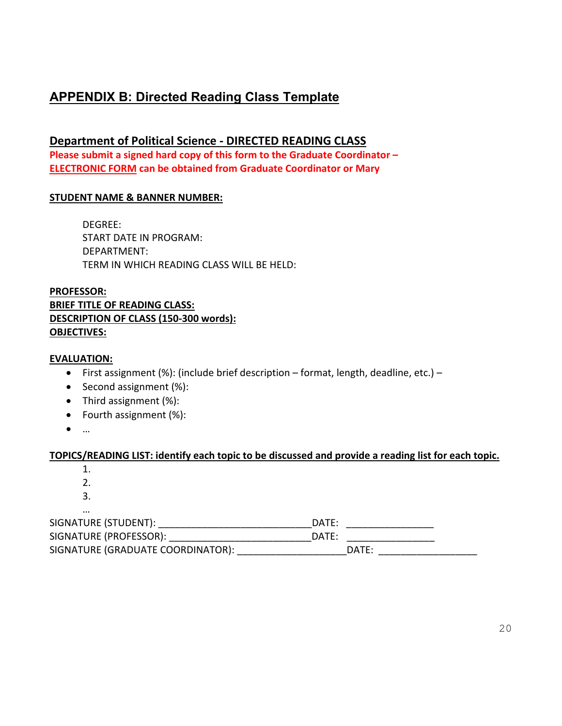## **APPENDIX B: Directed Reading Class Template**

## **Department of Political Science - DIRECTED READING CLASS Please submit a signed hard copy of this form to the Graduate Coordinator – ELECTRONIC FORM can be obtained from Graduate Coordinator or Mary**

#### **STUDENT NAME & BANNER NUMBER:**

DEGREE: START DATE IN PROGRAM: DEPARTMENT: TERM IN WHICH READING CLASS WILL BE HELD:

#### **PROFESSOR: BRIEF TITLE OF READING CLASS: DESCRIPTION OF CLASS (150-300 words): OBJECTIVES:**

#### **EVALUATION:**

- First assignment (%): (include brief description format, length, deadline, etc.) –
- Second assignment (%):
- Third assignment (%):
- Fourth assignment (%):
- …

#### **TOPICS/READING LIST: identify each topic to be discussed and provide a reading list for each topic.**

1. 2. 3. … SIGNATURE (STUDENT): \_\_\_\_\_\_\_\_\_\_\_\_\_\_\_\_\_\_\_\_\_\_\_\_\_\_\_\_DATE: \_\_\_\_\_\_\_\_\_\_\_\_\_\_\_\_ SIGNATURE (PROFESSOR): \_\_\_\_\_\_\_\_\_\_\_\_\_\_\_\_\_\_\_\_\_\_\_\_\_\_\_\_\_\_\_\_\_\_\_DATE: \_\_\_\_\_\_\_\_\_\_\_\_\_\_\_\_ SIGNATURE (GRADUATE COORDINATOR): \_\_\_\_\_\_\_\_\_\_\_\_\_\_\_\_\_\_\_\_\_\_\_\_\_\_\_\_\_\_DATE: \_\_\_\_\_\_\_\_\_\_\_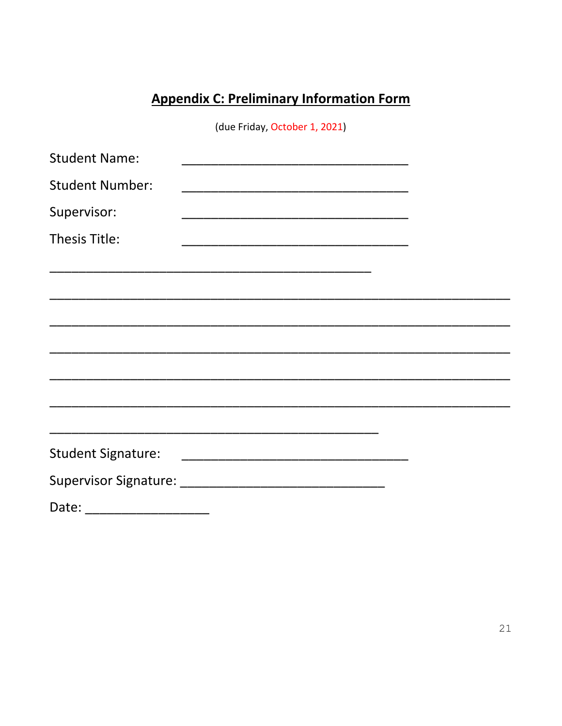# **Appendix C: Preliminary Information Form**

(due Friday, October 1, 2021)

| <b>Student Name:</b>      |                                                                                                                       |  |
|---------------------------|-----------------------------------------------------------------------------------------------------------------------|--|
| <b>Student Number:</b>    |                                                                                                                       |  |
| Supervisor:               |                                                                                                                       |  |
| Thesis Title:             |                                                                                                                       |  |
|                           |                                                                                                                       |  |
|                           |                                                                                                                       |  |
|                           |                                                                                                                       |  |
|                           |                                                                                                                       |  |
|                           |                                                                                                                       |  |
|                           |                                                                                                                       |  |
|                           | <u> 1989 - Johann John Stoff, deutscher Stoffen und der Stoffen und der Stoffen und der Stoffen und der Stoffen u</u> |  |
| <b>Student Signature:</b> |                                                                                                                       |  |
|                           |                                                                                                                       |  |
| Date:                     |                                                                                                                       |  |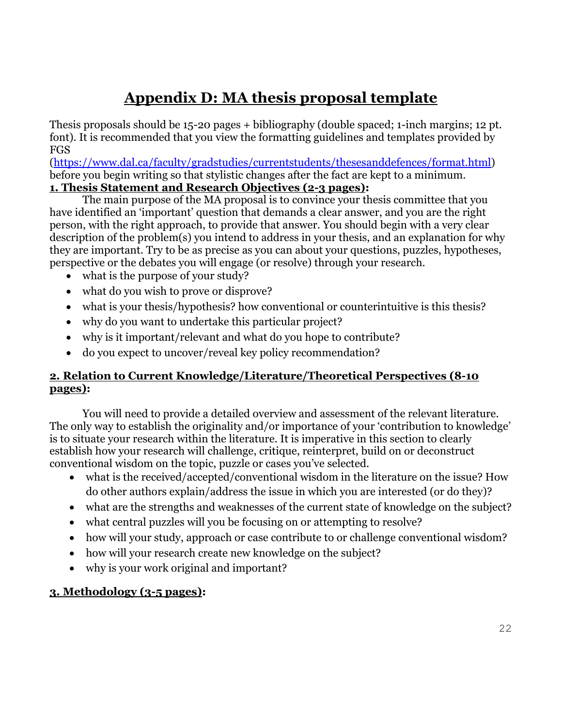# **Appendix D: MA thesis proposal template**

Thesis proposals should be 15-20 pages + bibliography (double spaced; 1-inch margins; 12 pt. font). It is recommended that you view the formatting guidelines and templates provided by FGS

[\(https://www.dal.ca/faculty/gradstudies/currentstudents/thesesanddefences/format.html\)](https://www.dal.ca/faculty/gradstudies/currentstudents/thesesanddefences/format.html) before you begin writing so that stylistic changes after the fact are kept to a minimum. **1. Thesis Statement and Research Objectives (2-3 pages):**

The main purpose of the MA proposal is to convince your thesis committee that you have identified an 'important' question that demands a clear answer, and you are the right person, with the right approach, to provide that answer. You should begin with a very clear description of the problem(s) you intend to address in your thesis, and an explanation for why they are important. Try to be as precise as you can about your questions, puzzles, hypotheses, perspective or the debates you will engage (or resolve) through your research.

- what is the purpose of your study?
- what do you wish to prove or disprove?
- what is your thesis/hypothesis? how conventional or counterintuitive is this thesis?
- why do you want to undertake this particular project?
- why is it important/relevant and what do you hope to contribute?
- do you expect to uncover/reveal key policy recommendation?

## **2. Relation to Current Knowledge/Literature/Theoretical Perspectives (8-10 pages):**

You will need to provide a detailed overview and assessment of the relevant literature. The only way to establish the originality and/or importance of your 'contribution to knowledge' is to situate your research within the literature. It is imperative in this section to clearly establish how your research will challenge, critique, reinterpret, build on or deconstruct conventional wisdom on the topic, puzzle or cases you've selected.

- what is the received/accepted/conventional wisdom in the literature on the issue? How do other authors explain/address the issue in which you are interested (or do they)?
- what are the strengths and weaknesses of the current state of knowledge on the subject?
- what central puzzles will you be focusing on or attempting to resolve?
- how will your study, approach or case contribute to or challenge conventional wisdom?
- how will your research create new knowledge on the subject?
- why is your work original and important?

## **3. Methodology (3-5 pages):**